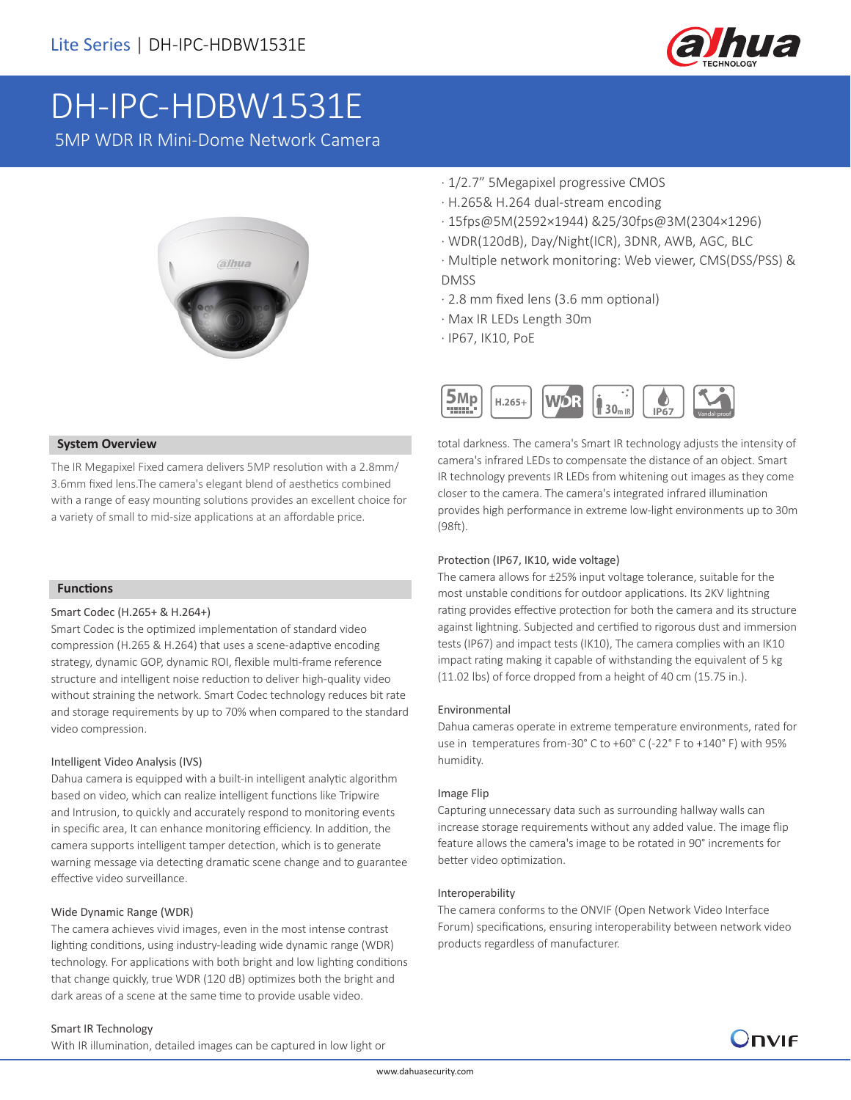

# DH-IPC-HDBW1531E

5MP WDR IR Mini-Dome Network Camera



#### **System Overview**

The IR Megapixel Fixed camera delivers 5MP resolution with a 2.8mm/ 3.6mm fixed lens.The camera's elegant blend of aesthetics combined with a range of easy mounting solutions provides an excellent choice for a variety of small to mid-size applications at an affordable price.

#### **Functions**

#### Smart Codec (H.265+ & H.264+)

Smart Codec is the optimized implementation of standard video compression (H.265 & H.264) that uses a scene-adaptive encoding strategy, dynamic GOP, dynamic ROI, flexible multi-frame reference structure and intelligent noise reduction to deliver high-quality video without straining the network. Smart Codec technology reduces bit rate and storage requirements by up to 70% when compared to the standard video compression.

#### Intelligent Video Analysis (IVS)

Dahua camera is equipped with a built-in intelligent analytic algorithm based on video, which can realize intelligent functions like Tripwire and Intrusion, to quickly and accurately respond to monitoring events in specific area, It can enhance monitoring efficiency. In addition, the camera supports intelligent tamper detection, which is to generate warning message via detecting dramatic scene change and to guarantee effective video surveillance.

#### Wide Dynamic Range (WDR)

The camera achieves vivid images, even in the most intense contrast lighting conditions, using industry-leading wide dynamic range (WDR) technology. For applications with both bright and low lighting conditions that change quickly, true WDR (120 dB) optimizes both the bright and dark areas of a scene at the same time to provide usable video.

### · 1/2.7" 5Megapixel progressive CMOS

- · H.265& H.264 dual-stream encoding
- · 15fps@5M(2592×1944) &25/30fps@3M(2304×1296)
- · WDR(120dB), Day/Night(ICR), 3DNR, AWB, AGC, BLC
- · Multiple network monitoring: Web viewer, CMS(DSS/PSS) & DMSS
- · 2.8 mm fixed lens (3.6 mm optional)
- · Max IR LEDs Length 30m
- · IP67, IK10, PoE



total darkness. The camera's Smart IR technology adjusts the intensity of camera's infrared LEDs to compensate the distance of an object. Smart IR technology prevents IR LEDs from whitening out images as they come closer to the camera. The camera's integrated infrared illumination provides high performance in extreme low-light environments up to 30m (98ft).

#### Protection (IP67, IK10, wide voltage)

The camera allows for ±25% input voltage tolerance, suitable for the most unstable conditions for outdoor applications. Its 2KV lightning rating provides effective protection for both the camera and its structure against lightning. Subjected and certified to rigorous dust and immersion tests (IP67) and impact tests (IK10), The camera complies with an IK10 impact rating making it capable of withstanding the equivalent of 5 kg (11.02 lbs) of force dropped from a height of 40 cm (15.75 in.).

#### Environmental

Dahua cameras operate in extreme temperature environments, rated for use in temperatures from-30° C to +60° C (-22° F to +140° F) with 95% humidity.

#### Image Flip

Capturing unnecessary data such as surrounding hallway walls can increase storage requirements without any added value. The image flip feature allows the camera's image to be rotated in 90° increments for better video optimization.

#### Interoperability

The camera conforms to the ONVIF (Open Network Video Interface Forum) specifications, ensuring interoperability between network video products regardless of manufacturer.

#### Smart IR Technology

With IR illumination, detailed images can be captured in low light or

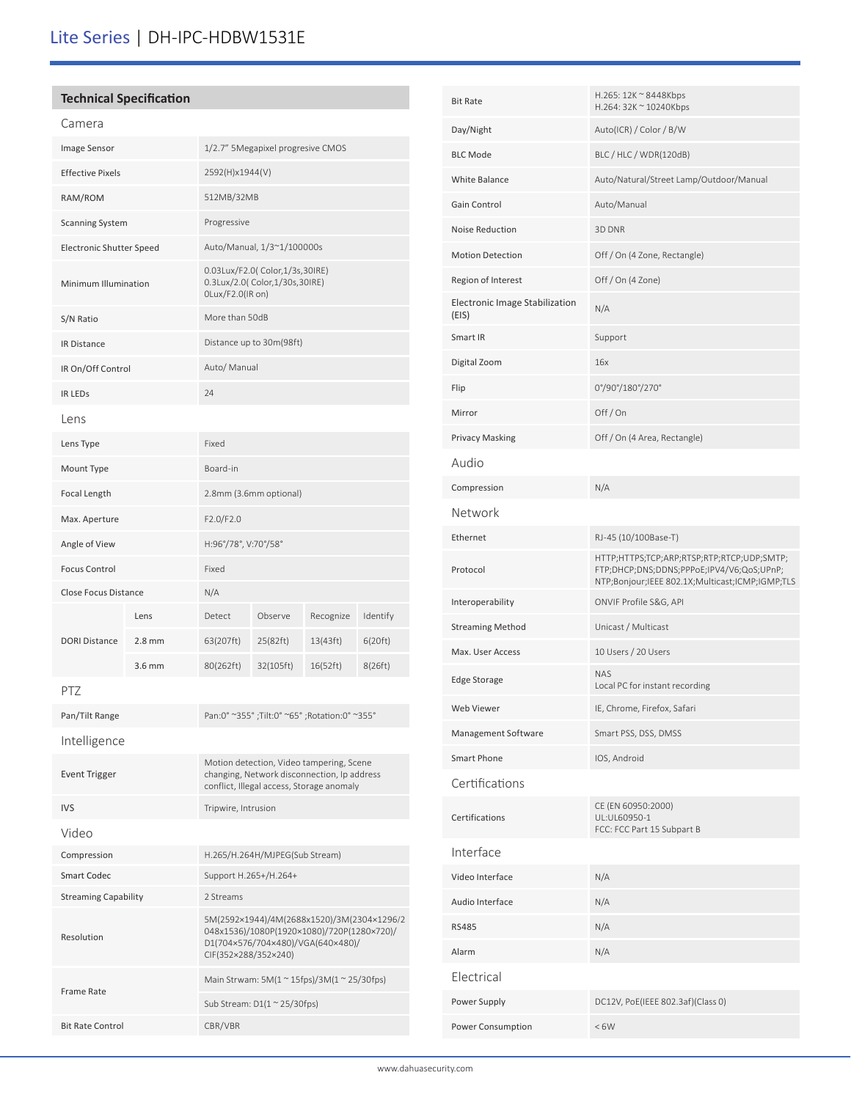# Lite Series | DH-IPC-HDBW1531E

| <b>Technical Specification</b>  |          |                                                                                           |           |           |          |
|---------------------------------|----------|-------------------------------------------------------------------------------------------|-----------|-----------|----------|
| Camera                          |          |                                                                                           |           |           |          |
| Image Sensor                    |          | 1/2.7" 5Megapixel progresive CMOS                                                         |           |           |          |
| <b>Effective Pixels</b>         |          | 2592(H)x1944(V)                                                                           |           |           |          |
| RAM/ROM                         |          | 512MB/32MB                                                                                |           |           |          |
| <b>Scanning System</b>          |          | Progressive                                                                               |           |           |          |
| <b>Electronic Shutter Speed</b> |          | Auto/Manual, 1/3~1/100000s                                                                |           |           |          |
| Minimum Illumination            |          | 0.03Lux/F2.0( Color, 1/3s, 30IRE)<br>0.3Lux/2.0( Color, 1/30s, 30IRE)<br>OLux/F2.0(IR on) |           |           |          |
| S/N Ratio                       |          | More than 50dB                                                                            |           |           |          |
| IR Distance                     |          | Distance up to 30m(98ft)                                                                  |           |           |          |
| IR On/Off Control               |          | Auto/ Manual                                                                              |           |           |          |
| <b>IR LEDS</b>                  |          | 24                                                                                        |           |           |          |
| Lens                            |          |                                                                                           |           |           |          |
| Lens Type                       |          | Fixed                                                                                     |           |           |          |
| Mount Type                      |          | Board-in                                                                                  |           |           |          |
| <b>Focal Length</b>             |          | 2.8mm (3.6mm optional)                                                                    |           |           |          |
| Max. Aperture                   |          | F2.0/F2.0                                                                                 |           |           |          |
| Angle of View                   |          | H:96°/78°, V:70°/58°                                                                      |           |           |          |
| <b>Focus Control</b>            |          | Fixed                                                                                     |           |           |          |
| <b>Close Focus Distance</b>     |          | N/A                                                                                       |           |           |          |
| <b>DORI Distance</b>            | Lens     | Detect                                                                                    | Observe   | Recognize | Identify |
|                                 | $2.8$ mm | 63(207ft)                                                                                 | 25(82ft)  | 13(43ft)  | 6(20 ft) |
|                                 | 3.6 mm   | 80(262ft)                                                                                 | 32(105ft) | 16(52ft)  | 8(26ft)  |
| PTZ                             |          |                                                                                           |           |           |          |
| Pan/Tilt Range                  |          | Pan:0° ~355°; Tilt:0° ~65°; Rotation:0° ~355°                                             |           |           |          |
| Intelligence                    |          |                                                                                           |           |           |          |

| <b>Event Trigger</b>        | Motion detection, Video tampering, Scene<br>changing, Network disconnection, Ip address<br>conflict, Illegal access, Storage anomaly                  |
|-----------------------------|-------------------------------------------------------------------------------------------------------------------------------------------------------|
| <b>IVS</b>                  | Tripwire, Intrusion                                                                                                                                   |
| Video                       |                                                                                                                                                       |
| Compression                 | H.265/H.264H/MJPEG(Sub Stream)                                                                                                                        |
| Smart Codec                 | Support H.265+/H.264+                                                                                                                                 |
| <b>Streaming Capability</b> | 2 Streams                                                                                                                                             |
| Resolution                  | 5M(2592×1944)/4M(2688x1520)/3M(2304×1296/2<br>048x1536)/1080P(1920×1080)/720P(1280×720)/<br>D1(704×576/704×480)/VGA(640×480)/<br>CIF(352×288/352×240) |
| Frame Rate                  | Main Strwam: $5M(1 \approx 15$ fps)/ $3M(1 \approx 25/30$ fps)                                                                                        |
|                             | Sub Stream: $D1(1 \approx 25/30$ fps)                                                                                                                 |
| <b>Bit Rate Control</b>     | CBR/VBR                                                                                                                                               |
|                             |                                                                                                                                                       |

| <b>Bit Rate</b>                         | H.265: 12K ~ 8448Kbps<br>H.264: 32K ~ 10240Kbps                                                                                            |
|-----------------------------------------|--------------------------------------------------------------------------------------------------------------------------------------------|
| Day/Night                               | Auto(ICR) / Color / B/W                                                                                                                    |
| <b>BLC Mode</b>                         | BLC / HLC / WDR(120dB)                                                                                                                     |
| <b>White Balance</b>                    | Auto/Natural/Street Lamp/Outdoor/Manual                                                                                                    |
| Gain Control                            | Auto/Manual                                                                                                                                |
| Noise Reduction                         | 3D DNR                                                                                                                                     |
| <b>Motion Detection</b>                 | Off / On (4 Zone, Rectangle)                                                                                                               |
| Region of Interest                      | Off / On (4 Zone)                                                                                                                          |
| Electronic Image Stabilization<br>(EIS) | N/A                                                                                                                                        |
| Smart IR                                | Support                                                                                                                                    |
| Digital Zoom                            | 16x                                                                                                                                        |
| Flip                                    | 0°/90°/180°/270°                                                                                                                           |
| Mirror                                  | Off/On                                                                                                                                     |
| <b>Privacy Masking</b>                  | Off / On (4 Area, Rectangle)                                                                                                               |
| Audio                                   |                                                                                                                                            |
| Compression                             | N/A                                                                                                                                        |
| Network                                 |                                                                                                                                            |
| Ethernet                                | RJ-45 (10/100Base-T)                                                                                                                       |
| Protocol                                | HTTP;HTTPS;TCP;ARP;RTSP;RTP;RTCP;UDP;SMTP;<br>FTP;DHCP;DNS;DDNS;PPPoE;IPV4/V6;QoS;UPnP;<br>NTP;Bonjour;IEEE 802.1X;Multicast;ICMP;IGMP;TLS |
| Interoperability                        | ONVIF Profile S&G, API                                                                                                                     |
| <b>Streaming Method</b>                 | Unicast / Multicast                                                                                                                        |
| Max. User Access                        | 10 Users / 20 Users                                                                                                                        |
| Edge Storage                            | <b>NAS</b><br>Local PC for instant recording                                                                                               |
| Web Viewer                              | IE, Chrome, Firefox, Safari                                                                                                                |
| Management Software                     | Smart PSS, DSS, DMSS                                                                                                                       |
| Smart Phone                             | IOS, Android                                                                                                                               |
| Certifications                          |                                                                                                                                            |
| Certifications                          | CE (EN 60950:2000)<br>UL:UL60950-1<br>FCC: FCC Part 15 Subpart B                                                                           |
| Interface                               |                                                                                                                                            |
| Video Interface                         | N/A                                                                                                                                        |
| Audio Interface                         | N/A                                                                                                                                        |
| <b>RS485</b>                            | N/A                                                                                                                                        |
| Alarm                                   | N/A                                                                                                                                        |
| Electrical                              |                                                                                                                                            |
| Power Supply                            | DC12V, PoE(IEEE 802.3af)(Class 0)                                                                                                          |
| Power Consumption                       | <6W                                                                                                                                        |